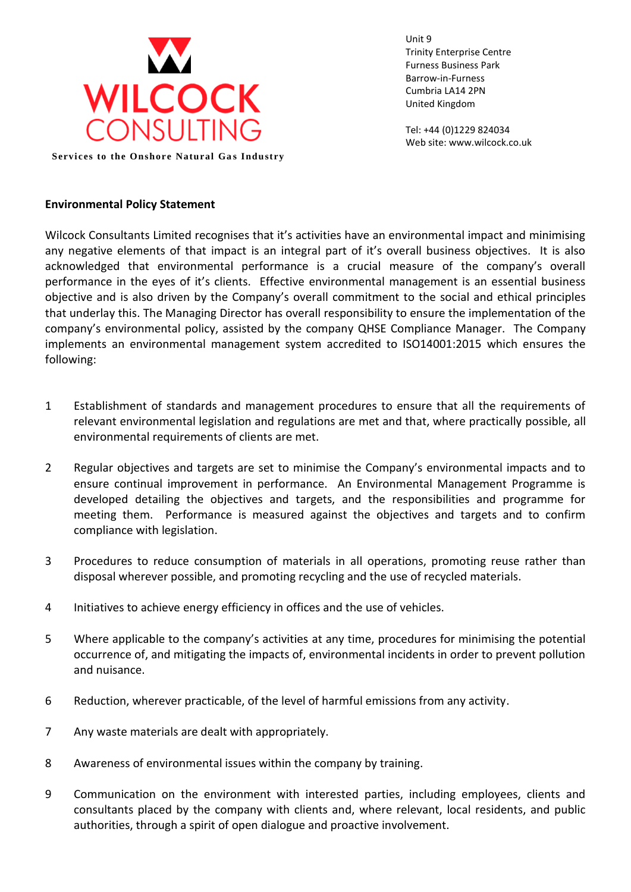

Unit 9 Trinity Enterprise Centre Furness Business Park Barrow-in-Furness Cumbria LA14 2PN United Kingdom

Tel: +44 (0)1229 824034 Web site: www.wilcock.co.uk

## **Environmental Policy Statement**

Wilcock Consultants Limited recognises that it's activities have an environmental impact and minimising any negative elements of that impact is an integral part of it's overall business objectives. It is also acknowledged that environmental performance is a crucial measure of the company's overall performance in the eyes of it's clients. Effective environmental management is an essential business objective and is also driven by the Company's overall commitment to the social and ethical principles that underlay this. The Managing Director has overall responsibility to ensure the implementation of the company's environmental policy, assisted by the company QHSE Compliance Manager. The Company implements an environmental management system accredited to ISO14001:2015 which ensures the following:

- 1 Establishment of standards and management procedures to ensure that all the requirements of relevant environmental legislation and regulations are met and that, where practically possible, all environmental requirements of clients are met.
- 2 Regular objectives and targets are set to minimise the Company's environmental impacts and to ensure continual improvement in performance. An Environmental Management Programme is developed detailing the objectives and targets, and the responsibilities and programme for meeting them. Performance is measured against the objectives and targets and to confirm compliance with legislation.
- 3 Procedures to reduce consumption of materials in all operations, promoting reuse rather than disposal wherever possible, and promoting recycling and the use of recycled materials.
- 4 Initiatives to achieve energy efficiency in offices and the use of vehicles.
- 5 Where applicable to the company's activities at any time, procedures for minimising the potential occurrence of, and mitigating the impacts of, environmental incidents in order to prevent pollution and nuisance.
- 6 Reduction, wherever practicable, of the level of harmful emissions from any activity.
- 7 Any waste materials are dealt with appropriately.
- 8 Awareness of environmental issues within the company by training.
- 9 Communication on the environment with interested parties, including employees, clients and consultants placed by the company with clients and, where relevant, local residents, and public authorities, through a spirit of open dialogue and proactive involvement.